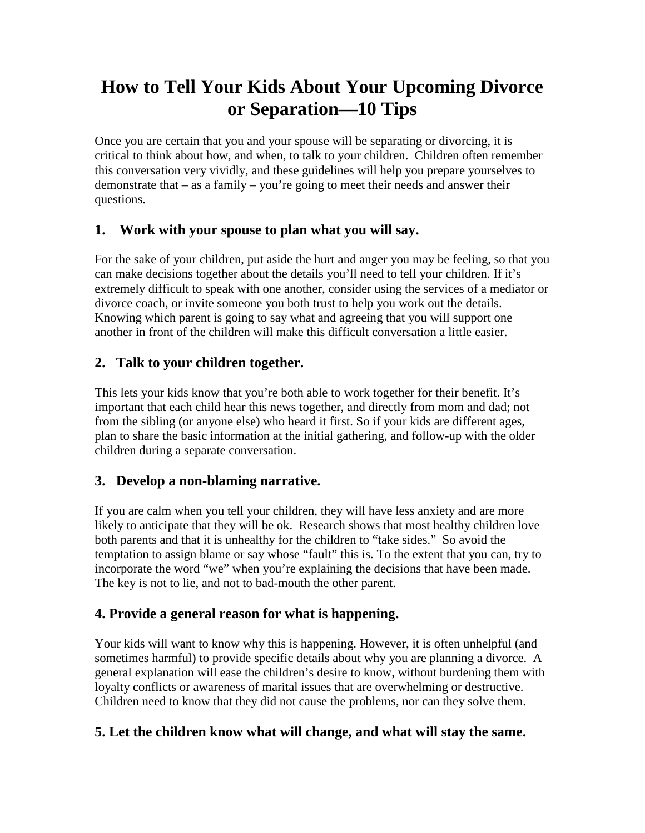# **How to Tell Your Kids About Your Upcoming Divorce or Separation—10 Tips**

Once you are certain that you and your spouse will be separating or divorcing, it is critical to think about how, and when, to talk to your children. Children often remember this conversation very vividly, and these guidelines will help you prepare yourselves to demonstrate that – as a family – you're going to meet their needs and answer their questions.

## **1. Work with your spouse to plan what you will say.**

For the sake of your children, put aside the hurt and anger you may be feeling, so that you can make decisions together about the details you'll need to tell your children. If it's extremely difficult to speak with one another, consider using the services of a [mediator](http://singleparents.about.com/od/legalissues/tp/mediation.htm) or divorce coach, or invite someone you both trust to help you work out the details. Knowing which parent is going to say what and agreeing that you will support one another in front of the children will make this difficult conversation a little easier.

## **2. Talk to your children together.**

This lets your kids know that you're both able to work together for their benefit. It's important that each child hear this news together, and directly from mom and dad; not from the sibling (or anyone else) who heard it first. So if your kids are different ages, plan to share the basic information at the initial gathering, and follow-up with the older children during a separate conversation.

### **3. Develop a non-blaming narrative.**

If you are calm when you tell your children, they will have less anxiety and are more likely to anticipate that they will be ok. Research shows that most healthy children love both parents and that it is unhealthy for the children to "take sides." So avoid the temptation to assign blame or say whose "fault" this is. To the extent that you can, try to incorporate the word "we" when you're explaining the decisions that have been made. The key is not to lie, and not to bad-mouth the other parent.

### **4. Provide a general reason for what is happening.**

Your kids will want to know why this is happening. However, it is often unhelpful (and sometimes harmful) to provide specific details about why you are planning a divorce. A general explanation will ease the children's desire to know, without burdening them with loyalty conflicts or awareness of marital issues that are overwhelming or destructive. Children need to know that they did not cause the problems, nor can they solve them.

### **5. Let the children know what will change, and what will stay the same.**